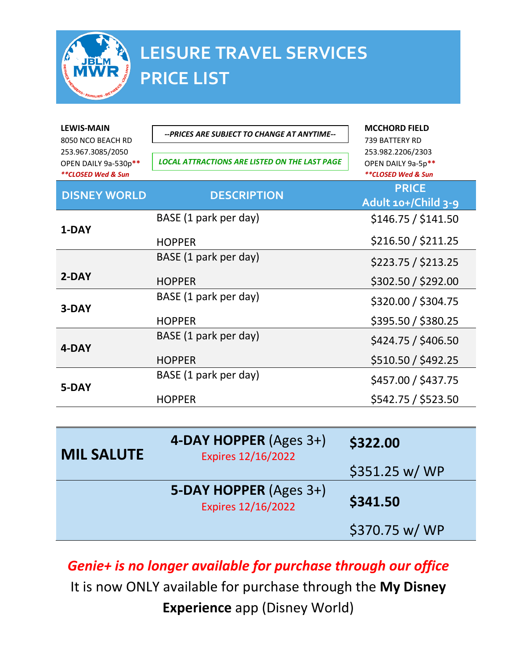

## **LEISURE TRAVEL SERVICES PRICE LIST**

| <b>LEWIS-MAIN</b><br>8050 NCO BEACH RD<br>253.967.3085/2050<br>OPEN DAILY 9a-530p**<br>**CLOSED Wed & Sun | --PRICES ARE SUBJECT TO CHANGE AT ANYTIME--<br><b>LOCAL ATTRACTIONS ARE LISTED ON THE LAST PAGE</b> | <b>MCCHORD FIELD</b><br>739 BATTERY RD<br>253.982.2206/2303<br>OPEN DAILY 9a-5p**<br>**CLOSED Wed & Sun |
|-----------------------------------------------------------------------------------------------------------|-----------------------------------------------------------------------------------------------------|---------------------------------------------------------------------------------------------------------|
| <b>DISNEY WORLD</b>                                                                                       | <b>DESCRIPTION</b>                                                                                  | <b>PRICE</b><br>Adult 10+/Child 3-9                                                                     |
|                                                                                                           | BASE (1 park per day)                                                                               | \$146.75 / \$141.50                                                                                     |
| 1-DAY                                                                                                     | <b>HOPPER</b>                                                                                       | \$216.50 / \$211.25                                                                                     |
|                                                                                                           | BASE (1 park per day)                                                                               | \$223.75 / \$213.25                                                                                     |
| $2-DAY$                                                                                                   | <b>HOPPER</b>                                                                                       | \$302.50 / \$292.00                                                                                     |
| 3-DAY                                                                                                     | BASE (1 park per day)                                                                               | \$320.00 / \$304.75                                                                                     |
|                                                                                                           | <b>HOPPER</b>                                                                                       | \$395.50 / \$380.25                                                                                     |
| 4-DAY                                                                                                     | BASE (1 park per day)                                                                               | \$424.75 / \$406.50                                                                                     |
|                                                                                                           | <b>HOPPER</b>                                                                                       | \$510.50 / \$492.25                                                                                     |
| 5-DAY                                                                                                     | BASE (1 park per day)                                                                               | \$457.00 / \$437.75                                                                                     |
|                                                                                                           | <b>HOPPER</b>                                                                                       | \$542.75 / \$523.50                                                                                     |
|                                                                                                           |                                                                                                     |                                                                                                         |
|                                                                                                           |                                                                                                     |                                                                                                         |

| <b>MIL SALUTE</b> | 4-DAY HOPPER (Ages 3+)<br><b>Expires 12/16/2022</b> | \$322.00       |
|-------------------|-----------------------------------------------------|----------------|
|                   |                                                     | \$351.25 w/WP  |
|                   | 5-DAY HOPPER (Ages 3+)<br><b>Expires 12/16/2022</b> | \$341.50       |
|                   |                                                     | \$370.75 w/ WP |

*Genie+ is no longer available for purchase through our office* 

It is now ONLY available for purchase through the **My Disney Experience** app (Disney World)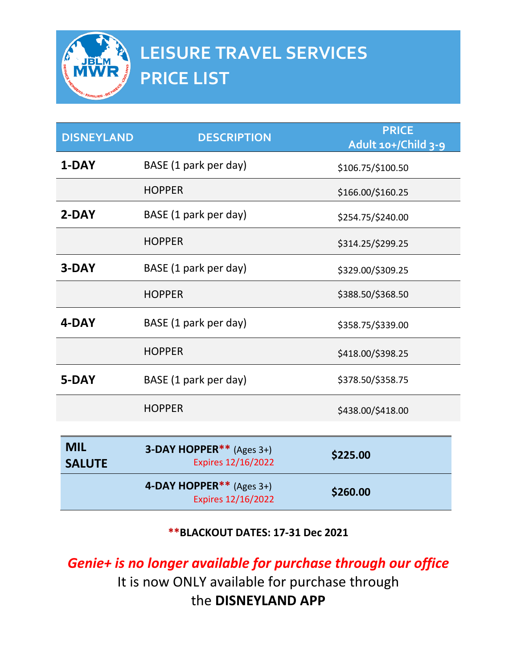

| <b>DISNEYLAND</b>           | <b>DESCRIPTION</b>                                              | <b>PRICE</b><br>Adult 10+/Child 3-9 |
|-----------------------------|-----------------------------------------------------------------|-------------------------------------|
| 1-DAY                       | BASE (1 park per day)                                           | \$106.75/\$100.50                   |
|                             | <b>HOPPER</b>                                                   | \$166.00/\$160.25                   |
| 2-DAY                       | BASE (1 park per day)                                           | \$254.75/\$240.00                   |
|                             | <b>HOPPER</b>                                                   | \$314.25/\$299.25                   |
| 3-DAY                       | BASE (1 park per day)                                           | \$329.00/\$309.25                   |
|                             | <b>HOPPER</b>                                                   | \$388.50/\$368.50                   |
| 4-DAY                       | BASE (1 park per day)                                           | \$358.75/\$339.00                   |
|                             | <b>HOPPER</b>                                                   | \$418.00/\$398.25                   |
| 5-DAY                       | BASE (1 park per day)                                           | \$378.50/\$358.75                   |
|                             | <b>HOPPER</b>                                                   | \$438.00/\$418.00                   |
|                             |                                                                 |                                     |
| <b>MIL</b><br><b>SALUTE</b> | <b>3-DAY HOPPER**</b> (Ages $3+$ )<br><b>Expires 12/16/2022</b> | \$225.00                            |
|                             | 4-DAY HOPPER** (Ages $3+$ )<br><b>Expires 12/16/2022</b>        | \$260.00                            |

**\*\*BLACKOUT DATES: 17-31 Dec 2021**

*Genie+ is no longer available for purchase through our office*  It is now ONLY available for purchase through the **DISNEYLAND APP**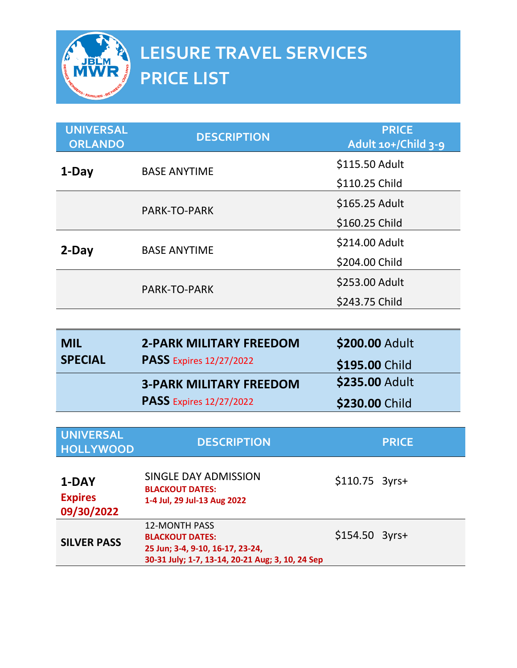

| <b>UNIVERSAL</b><br><b>ORLANDO</b> | <b>DESCRIPTION</b>  | <b>PRICE</b><br>Adult 10+/Child 3-9 |
|------------------------------------|---------------------|-------------------------------------|
| 1-Day                              | <b>BASE ANYTIME</b> | \$115.50 Adult                      |
|                                    |                     | \$110.25 Child                      |
|                                    | PARK-TO-PARK        | \$165.25 Adult                      |
|                                    |                     | \$160.25 Child                      |
| $2$ -Day                           | <b>BASE ANYTIME</b> | \$214.00 Adult                      |
|                                    |                     | \$204.00 Child                      |
|                                    | PARK-TO-PARK        | \$253.00 Adult                      |
|                                    |                     | \$243.75 Child                      |

| <b>MIL</b>     | <b>2-PARK MILITARY FREEDOM</b> | \$200.00 Adult |
|----------------|--------------------------------|----------------|
| <b>SPECIAL</b> | <b>PASS</b> Expires 12/27/2022 | \$195.00 Child |
|                | <b>3-PARK MILITARY FREEDOM</b> | \$235.00 Adult |
|                | <b>PASS</b> Expires 12/27/2022 | \$230.00 Child |

| <b>UNIVERSAL</b><br><b>HOLLYWOOD</b>  | <b>DESCRIPTION</b>                                                                                                                     |                 | <b>PRICE</b> |
|---------------------------------------|----------------------------------------------------------------------------------------------------------------------------------------|-----------------|--------------|
| 1-DAY<br><b>Expires</b><br>09/30/2022 | SINGLE DAY ADMISSION<br><b>BLACKOUT DATES:</b><br>1-4 Jul, 29 Jul-13 Aug 2022                                                          | $$110.75$ 3yrs+ |              |
| <b>SILVER PASS</b>                    | <b>12-MONTH PASS</b><br><b>BLACKOUT DATES:</b><br>25 Jun; 3-4, 9-10, 16-17, 23-24,<br>30-31 July; 1-7, 13-14, 20-21 Aug; 3, 10, 24 Sep | $$154.50$ 3yrs+ |              |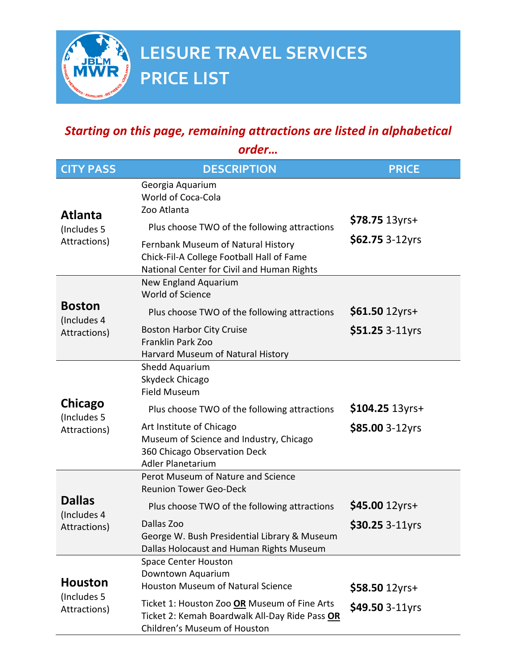

## *Starting on this page, remaining attractions are listed in alphabetical*

*order…*

| <b>CITY PASS</b>                              | <b>DESCRIPTION</b>                                                                                                             | <b>PRICE</b>    |
|-----------------------------------------------|--------------------------------------------------------------------------------------------------------------------------------|-----------------|
| <b>Atlanta</b>                                | Georgia Aquarium<br>World of Coca-Cola<br>Zoo Atlanta                                                                          |                 |
| (Includes 5                                   | Plus choose TWO of the following attractions                                                                                   | \$78.75 13yrs+  |
| Attractions)                                  | Fernbank Museum of Natural History<br>Chick-Fil-A College Football Hall of Fame<br>National Center for Civil and Human Rights  | \$62.75 3-12yrs |
|                                               | New England Aquarium<br>World of Science                                                                                       |                 |
| <b>Boston</b>                                 | Plus choose TWO of the following attractions                                                                                   | \$61.50 12yrs+  |
| (Includes 4<br>Attractions)                   | <b>Boston Harbor City Cruise</b><br>Franklin Park Zoo<br>Harvard Museum of Natural History                                     | \$51.25 3-11yrs |
|                                               | Shedd Aquarium<br>Skydeck Chicago<br><b>Field Museum</b>                                                                       |                 |
| Chicago                                       | Plus choose TWO of the following attractions                                                                                   | \$104.25 13yrs+ |
| (Includes 5<br>Attractions)                   | Art Institute of Chicago<br>Museum of Science and Industry, Chicago<br>360 Chicago Observation Deck<br>Adler Planetarium       | \$85.00 3-12yrs |
|                                               | Perot Museum of Nature and Science<br><b>Reunion Tower Geo-Deck</b>                                                            |                 |
| <b>Dallas</b><br>(Includes 4                  | Plus choose TWO of the following attractions                                                                                   | \$45.00 12yrs+  |
| Attractions)                                  | Dallas Zoo<br>George W. Bush Presidential Library & Museum<br>Dallas Holocaust and Human Rights Museum                         | \$30.25 3-11yrs |
| <b>Houston</b><br>(Includes 5<br>Attractions) | <b>Space Center Houston</b>                                                                                                    |                 |
|                                               | Downtown Aquarium<br><b>Houston Museum of Natural Science</b>                                                                  | \$58.50 12yrs+  |
|                                               | Ticket 1: Houston Zoo OR Museum of Fine Arts<br>Ticket 2: Kemah Boardwalk All-Day Ride Pass OR<br>Children's Museum of Houston | \$49.50 3-11yrs |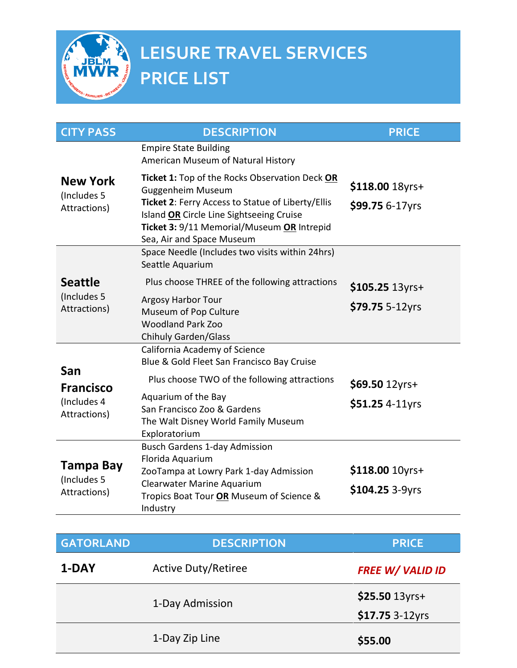

| <b>CITY PASS</b>                               | <b>DESCRIPTION</b>                                                                                                                                                                                                                              | <b>PRICE</b>                       |
|------------------------------------------------|-------------------------------------------------------------------------------------------------------------------------------------------------------------------------------------------------------------------------------------------------|------------------------------------|
|                                                | <b>Empire State Building</b><br>American Museum of Natural History                                                                                                                                                                              |                                    |
| <b>New York</b><br>(Includes 5<br>Attractions) | Ticket 1: Top of the Rocks Observation Deck OR<br>Guggenheim Museum<br>Ticket 2: Ferry Access to Statue of Liberty/Ellis<br>Island OR Circle Line Sightseeing Cruise<br>Ticket 3: 9/11 Memorial/Museum OR Intrepid<br>Sea, Air and Space Museum | \$118.00 18yrs+<br>\$99.75 6-17yrs |
|                                                | Space Needle (Includes two visits within 24hrs)<br>Seattle Aquarium                                                                                                                                                                             |                                    |
| <b>Seattle</b><br>(Includes 5                  | Plus choose THREE of the following attractions<br><b>Argosy Harbor Tour</b>                                                                                                                                                                     | \$105.25 13yrs+                    |
| Attractions)                                   | Museum of Pop Culture<br><b>Woodland Park Zoo</b><br><b>Chihuly Garden/Glass</b>                                                                                                                                                                | \$79.75 5-12yrs                    |
|                                                | California Academy of Science<br>Blue & Gold Fleet San Francisco Bay Cruise                                                                                                                                                                     |                                    |
| San<br><b>Francisco</b>                        | Plus choose TWO of the following attractions                                                                                                                                                                                                    | \$69.50 12yrs+                     |
| (Includes 4<br>Attractions)                    | Aquarium of the Bay<br>San Francisco Zoo & Gardens<br>The Walt Disney World Family Museum<br>Exploratorium                                                                                                                                      | \$51.25 4-11yrs                    |
| Tampa Bay<br>(Includes 5<br>Attractions)       | <b>Busch Gardens 1-day Admission</b><br>Florida Aquarium<br>ZooTampa at Lowry Park 1-day Admission<br>Clearwater Marine Aquarium<br>Tropics Boat Tour OR Museum of Science &<br>Industry                                                        | \$118.00 10yrs+<br>\$104.25 3-9yrs |

| <b>GATORLAND</b> | <b>DESCRIPTION</b>         | <b>PRICE</b>            |
|------------------|----------------------------|-------------------------|
| 1-DAY            | <b>Active Duty/Retiree</b> | <b>FREE W/ VALID ID</b> |
|                  | 1-Day Admission            | \$25.50 13yrs+          |
|                  |                            | \$17.75 3-12yrs         |
|                  | 1-Day Zip Line             | \$55.00                 |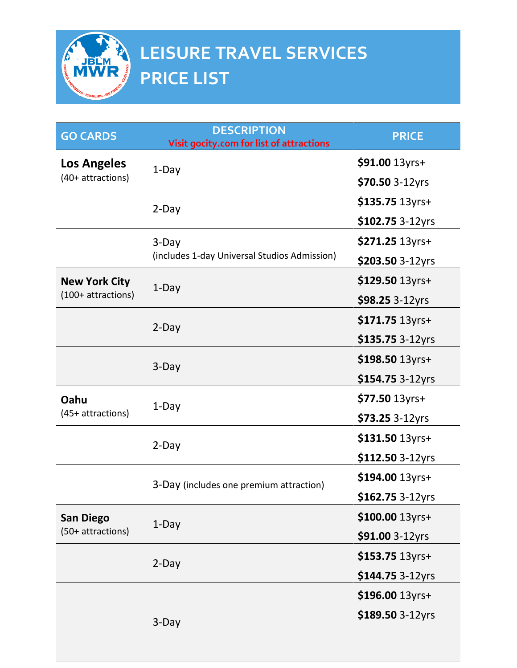

| <b>GO CARDS</b>      | <b>DESCRIPTION</b><br>Visit gocity.com for list of attractions | <b>PRICE</b>     |
|----------------------|----------------------------------------------------------------|------------------|
| Los Angeles          | 1-Day                                                          | \$91.00 13yrs+   |
| $(40+attractions)$   |                                                                | \$70.50 3-12yrs  |
|                      | 2-Day                                                          | \$135.75 13yrs+  |
|                      |                                                                | \$102.75 3-12yrs |
|                      | $3-Day$                                                        | \$271.25 13yrs+  |
|                      | (includes 1-day Universal Studios Admission)                   | \$203.50 3-12yrs |
| <b>New York City</b> | 1-Day                                                          | \$129.50 13yrs+  |
| (100+ attractions)   |                                                                | \$98.25 3-12yrs  |
|                      | $2$ -Day                                                       | \$171.75 13yrs+  |
|                      |                                                                | \$135.75 3-12yrs |
|                      | 3-Day                                                          | \$198.50 13yrs+  |
|                      |                                                                | \$154.75 3-12yrs |
| Oahu                 | 1-Day                                                          | \$77.50 13yrs+   |
| $(45+attractions)$   |                                                                | \$73.25 3-12yrs  |
|                      | $2-Day$                                                        | \$131.50 13yrs+  |
|                      |                                                                | \$112.50 3-12yrs |
|                      | 3-Day (includes one premium attraction)                        | \$194.00 13yrs+  |
|                      |                                                                | \$162.75 3-12yrs |
| <b>San Diego</b>     | 1-Day                                                          | \$100.00 13yrs+  |
| (50+ attractions)    |                                                                | \$91.00 3-12yrs  |
|                      | $2-Day$                                                        | \$153.75 13yrs+  |
|                      |                                                                | \$144.75 3-12yrs |
|                      |                                                                | \$196.00 13yrs+  |
|                      | 3-Day                                                          | \$189.50 3-12yrs |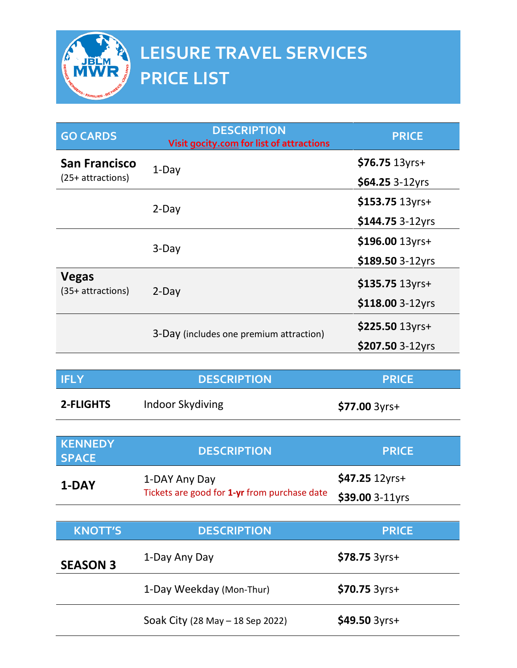

| <b>GO CARDS</b>                     | <b>DESCRIPTION</b><br>Visit gocity.com for list of attractions | <b>PRICE</b>     |
|-------------------------------------|----------------------------------------------------------------|------------------|
| <b>San Francisco</b>                | $1-Day$                                                        | $$76.75$ 13yrs+  |
| $(25+$ attractions)                 |                                                                | \$64.25 3-12yrs  |
|                                     | $2$ -Day                                                       | \$153.75 13yrs+  |
|                                     |                                                                | \$144.75 3-12yrs |
|                                     | 3-Day                                                          | \$196.00 13yrs+  |
|                                     |                                                                | \$189.50 3-12yrs |
| <b>Vegas</b><br>$(35+$ attractions) | $2$ -Day                                                       | \$135.75 13yrs+  |
|                                     |                                                                | \$118.00 3-12yrs |
|                                     | 3-Day (includes one premium attraction)                        | \$225.50 13yrs+  |
|                                     |                                                                | \$207.50 3-12yrs |

| <b>IFLY</b>      | <b>DESCRIPTION</b> | <b>PRICE</b>      |
|------------------|--------------------|-------------------|
| <b>2-FLIGHTS</b> | Indoor Skydiving   | $$77.00 \, 3yrs+$ |

| <b>KENNEDY</b><br><b>SPACE</b> | <b>DESCRIPTION</b>                                            | <b>PRICE</b>     |
|--------------------------------|---------------------------------------------------------------|------------------|
| 1-DAY                          | 1-DAY Any Day<br>Tickets are good for 1-yr from purchase date | $$47.25 12$ yrs+ |
|                                |                                                               | \$39.00 3-11yrs  |
|                                |                                                               |                  |

| <b>KNOTT'S</b>  | <b>DESCRIPTION</b>               | <b>PRICE</b>      |
|-----------------|----------------------------------|-------------------|
| <b>SEASON 3</b> | 1-Day Any Day                    | $$78.75 \, 3yrs+$ |
|                 | 1-Day Weekday (Mon-Thur)         | $$70.75 \, 3yrs+$ |
|                 | Soak City (28 May - 18 Sep 2022) | $$49.50 \, 3yrs+$ |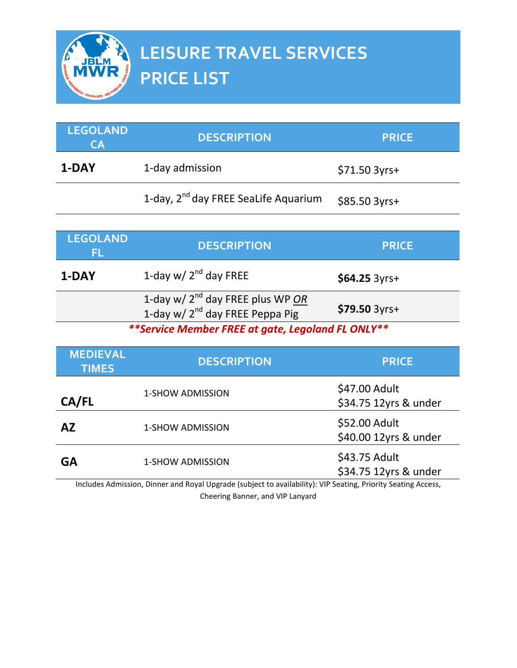

| <b>LEGOLAND</b><br>CA           | <b>DESCRIPTION</b>                                                                   | <b>PRICE</b>                           |
|---------------------------------|--------------------------------------------------------------------------------------|----------------------------------------|
| 1-DAY                           | 1-day admission                                                                      | \$71.50 3yrs+                          |
|                                 | 1-day, 2 <sup>nd</sup> day FREE SeaLife Aquarium                                     | $$85.50 3yrs+$                         |
|                                 |                                                                                      |                                        |
| <b>LEGOLAND</b><br>FL           | <b>DESCRIPTION</b>                                                                   | <b>PRICE</b>                           |
| 1-DAY                           | 1-day w/ $2nd$ day FREE                                                              | $$64.25$ 3yrs+                         |
|                                 | 1-day w/ $2^{nd}$ day FREE plus WP OR<br>1-day w/ 2 <sup>nd</sup> day FREE Peppa Pig | \$79.50 3yrs+                          |
|                                 | **Service Member FREE at gate, Legoland FL ONLY**                                    |                                        |
| <b>MEDIEVAL</b><br><b>TIMES</b> | <b>DESCRIPTION</b>                                                                   | <b>PRICE</b>                           |
| CA/FL                           | 1-SHOW ADMISSION                                                                     | \$47.00 Adult<br>\$34.75 12yrs & under |
| <b>AZ</b>                       | <b>1-SHOW ADMISSION</b>                                                              | \$52.00 Adult<br>\$40.00 12yrs & under |
| <b>GA</b>                       | 1-SHOW ADMISSION                                                                     | \$43.75 Adult<br>\$34.75 12yrs & under |

Includes Admission, Dinner and Royal Upgrade (subject to availability): VIP Seating, Priority Seating Access, Cheering Banner, and VIP Lanyard